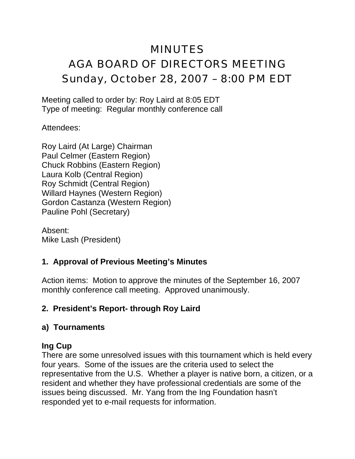# MINUTES AGA BOARD OF DIRECTORS MEETING Sunday, October 28, 2007 – 8:00 PM EDT

Meeting called to order by: Roy Laird at 8:05 EDT Type of meeting: Regular monthly conference call

Attendees:

Roy Laird (At Large) Chairman Paul Celmer (Eastern Region) Chuck Robbins (Eastern Region) Laura Kolb (Central Region) Roy Schmidt (Central Region) Willard Haynes (Western Region) Gordon Castanza (Western Region) Pauline Pohl (Secretary)

Absent: Mike Lash (President)

# **1. Approval of Previous Meeting's Minutes**

Action items: Motion to approve the minutes of the September 16, 2007 monthly conference call meeting. Approved unanimously.

# **2. President's Report- through Roy Laird**

#### **a) Tournaments**

# **Ing Cup**

There are some unresolved issues with this tournament which is held every four years. Some of the issues are the criteria used to select the representative from the U.S. Whether a player is native born, a citizen, or a resident and whether they have professional credentials are some of the issues being discussed. Mr. Yang from the Ing Foundation hasn't responded yet to e-mail requests for information.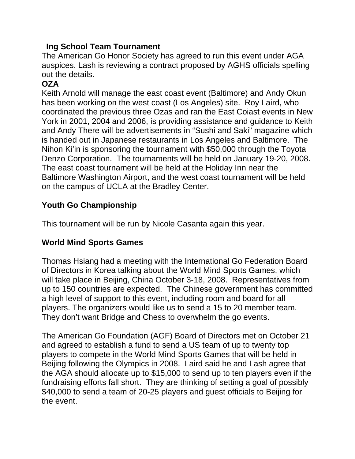#### **Ing School Team Tournament**

The American Go Honor Society has agreed to run this event under AGA auspices. Lash is reviewing a contract proposed by AGHS officials spelling out the details.

# **OZA**

Keith Arnold will manage the east coast event (Baltimore) and Andy Okun has been working on the west coast (Los Angeles) site. Roy Laird, who coordinated the previous three Ozas and ran the East Coiast events in New York in 2001, 2004 and 2006, is providing assistance and guidance to Keith and Andy There will be advertisements in "Sushi and Saki" magazine which is handed out in Japanese restaurants in Los Angeles and Baltimore. The Nihon Ki'in is sponsoring the tournament with \$50,000 through the Toyota Denzo Corporation. The tournaments will be held on January 19-20, 2008. The east coast tournament will be held at the Holiday Inn near the Baltimore Washington Airport, and the west coast tournament will be held on the campus of UCLA at the Bradley Center.

# **Youth Go Championship**

This tournament will be run by Nicole Casanta again this year.

# **World Mind Sports Games**

Thomas Hsiang had a meeting with the International Go Federation Board of Directors in Korea talking about the World Mind Sports Games, which will take place in Beijing, China October 3-18, 2008. Representatives from up to 150 countries are expected. The Chinese government has committed a high level of support to this event, including room and board for all players. The organizers would like us to send a 15 to 20 member team. They don't want Bridge and Chess to overwhelm the go events.

The American Go Foundation (AGF) Board of Directors met on October 21 and agreed to establish a fund to send a US team of up to twenty top players to compete in the World Mind Sports Games that will be held in Beijing following the Olympics in 2008. Laird said he and Lash agree that the AGA should allocate up to \$15,000 to send up to ten players even if the fundraising efforts fall short. They are thinking of setting a goal of possibly \$40,000 to send a team of 20-25 players and guest officials to Beijing for the event.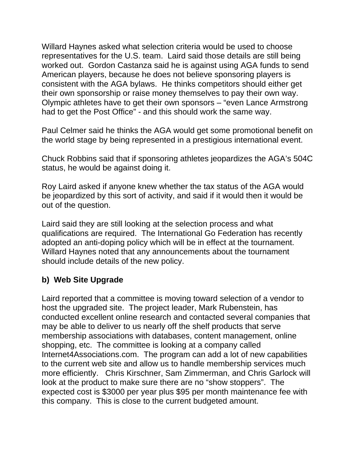Willard Haynes asked what selection criteria would be used to choose representatives for the U.S. team. Laird said those details are still being worked out. Gordon Castanza said he is against using AGA funds to send American players, because he does not believe sponsoring players is consistent with the AGA bylaws. He thinks competitors should either get their own sponsorship or raise money themselves to pay their own way. Olympic athletes have to get their own sponsors – "even Lance Armstrong had to get the Post Office" - and this should work the same way.

Paul Celmer said he thinks the AGA would get some promotional benefit on the world stage by being represented in a prestigious international event.

Chuck Robbins said that if sponsoring athletes jeopardizes the AGA's 504C status, he would be against doing it.

Roy Laird asked if anyone knew whether the tax status of the AGA would be jeopardized by this sort of activity, and said if it would then it would be out of the question.

Laird said they are still looking at the selection process and what qualifications are required. The International Go Federation has recently adopted an anti-doping policy which will be in effect at the tournament. Willard Haynes noted that any announcements about the tournament should include details of the new policy.

# **b) Web Site Upgrade**

Laird reported that a committee is moving toward selection of a vendor to host the upgraded site. The project leader, Mark Rubenstein, has conducted excellent online research and contacted several companies that may be able to deliver to us nearly off the shelf products that serve membership associations with databases, content management, online shopping, etc. The committee is looking at a company called Internet4Associations.com. The program can add a lot of new capabilities to the current web site and allow us to handle membership services much more efficiently. Chris Kirschner, Sam Zimmerman, and Chris Garlock will look at the product to make sure there are no "show stoppers". The expected cost is \$3000 per year plus \$95 per month maintenance fee with this company. This is close to the current budgeted amount.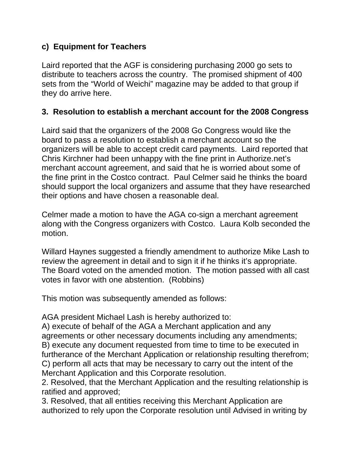## **c) Equipment for Teachers**

Laird reported that the AGF is considering purchasing 2000 go sets to distribute to teachers across the country. The promised shipment of 400 sets from the "World of Weichi" magazine may be added to that group if they do arrive here.

## **3. Resolution to establish a merchant account for the 2008 Congress**

Laird said that the organizers of the 2008 Go Congress would like the board to pass a resolution to establish a merchant account so the organizers will be able to accept credit card payments. Laird reported that Chris Kirchner had been unhappy with the fine print in Authorize.net's merchant account agreement, and said that he is worried about some of the fine print in the Costco contract. Paul Celmer said he thinks the board should support the local organizers and assume that they have researched their options and have chosen a reasonable deal.

Celmer made a motion to have the AGA co-sign a merchant agreement along with the Congress organizers with Costco. Laura Kolb seconded the motion.

Willard Haynes suggested a friendly amendment to authorize Mike Lash to review the agreement in detail and to sign it if he thinks it's appropriate. The Board voted on the amended motion. The motion passed with all cast votes in favor with one abstention. (Robbins)

This motion was subsequently amended as follows:

AGA president Michael Lash is hereby authorized to:

A) execute of behalf of the AGA a Merchant application and any agreements or other necessary documents including any amendments; B) execute any document requested from time to time to be executed in furtherance of the Merchant Application or relationship resulting therefrom; C) perform all acts that may be necessary to carry out the intent of the Merchant Application and this Corporate resolution.

2. Resolved, that the Merchant Application and the resulting relationship is ratified and approved;

3. Resolved, that all entities receiving this Merchant Application are authorized to rely upon the Corporate resolution until Advised in writing by